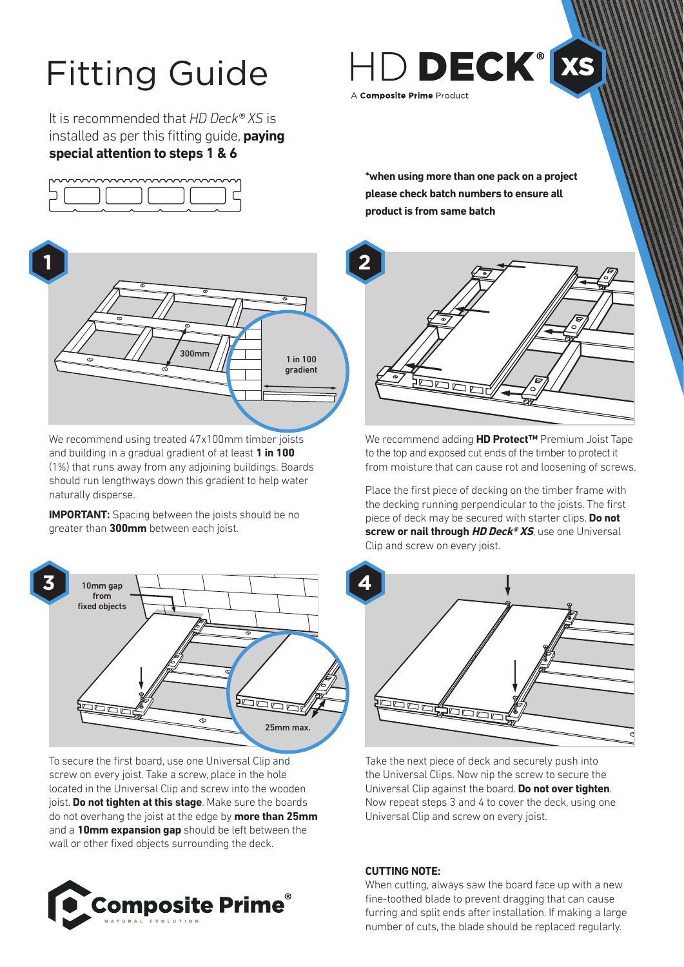# Fitting Guide

It is recommended that *HD Deck® XS* is installed as per this fitting guide, **paying special attention to steps 1 & 6**





We recommend using treated 47x100mm timber joists and building in a gradual gradient of at least **1 in 100**  (1%) that runs away from any adjoining buildings. Boards should run lengthways down this gradient to help water naturally disperse.

**IMPORTANT:** Spacing between the joists should be no greater than **300mm** between each joist.



To secure the first board, use one Universal Clip and screw on every joist. Take a screw, place in the hole located in the Universal Clip and screw into the wooden joist. **Do not tighten at this stage**. Make sure the boards do not overhang the joist at the edge by **more than 25mm** and a **10mm expansion gap** should be left between the wall or other fixed objects surrounding the deck.



HD DECK® xs A Composite Prime Product

**\*when using more than one pack on a project please check batch numbers to ensure all product is from same batch**



We recommend adding **HD Protect™** Premium Joist Tape to the top and exposed cut ends of the timber to protect it from moisture that can cause rot and loosening of screws.

Place the first piece of decking on the timber frame with the decking running perpendicular to the joists. The first piece of deck may be secured with starter clips. **Do not screw or nail through HD Deck® XS**, use one Universal Clip and screw on every joist.



Take the next piece of deck and securely push into the Universal Clips. Now nip the screw to secure the Universal Clip against the board. **Do not over tighten**. Now repeat steps 3 and 4 to cover the deck, using one Universal Clip and screw on every joist.

## **CUTTING NOTE:**

When cutting, always saw the board face up with a new fine-toothed blade to prevent dragging that can cause furring and split ends after installation. If making a large number of cuts, the blade should be replaced regularly.